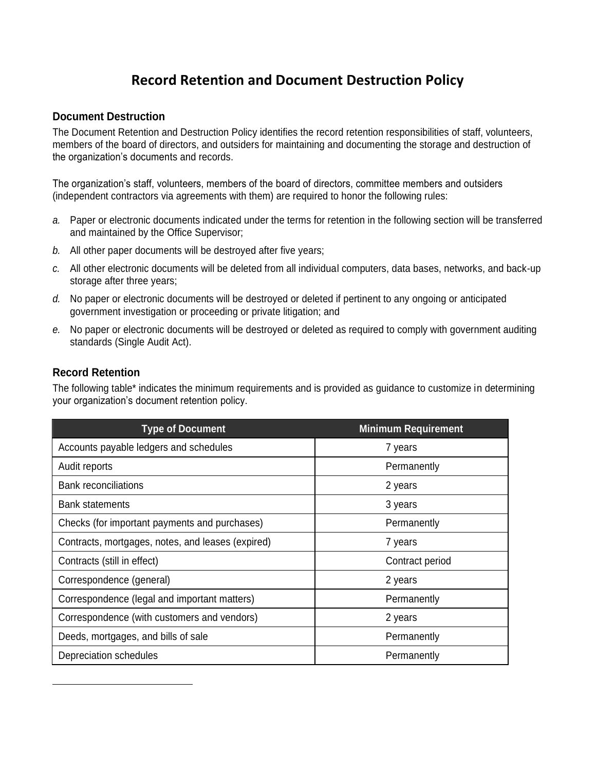## **Record Retention and Document Destruction Policy**

## **Document Destruction**

The Document Retention and Destruction Policy identifies the record retention responsibilities of staff, volunteers, members of the board of directors, and outsiders for maintaining and documenting the storage and destruction of the organization's documents and records.

The organization's staff, volunteers, members of the board of directors, committee members and outsiders (independent contractors via agreements with them) are required to honor the following rules:

- *a.* Paper or electronic documents indicated under the terms for retention in the following section will be transferred and maintained by the Office Supervisor;
- *b.* All other paper documents will be destroyed after five years;
- *c.* All other electronic documents will be deleted from all individual computers, data bases, networks, and back-up storage after three years;
- *d.* No paper or electronic documents will be destroyed or deleted if pertinent to any ongoing or anticipated government investigation or proceeding or private litigation; and
- *e.* No paper or electronic documents will be destroyed or deleted as required to comply with government auditing standards (Single Audit Act).

## **Record Retention**

 $\overline{a}$ 

The following table\* indicates the minimum requirements and is provided as guidance to customize in determining your organization's document retention policy.

| <b>Type of Document</b>                           | <b>Minimum Requirement</b> |
|---------------------------------------------------|----------------------------|
| Accounts payable ledgers and schedules            | 7 years                    |
| Audit reports                                     | Permanently                |
| <b>Bank reconciliations</b>                       | 2 years                    |
| <b>Bank statements</b>                            | 3 years                    |
| Checks (for important payments and purchases)     | Permanently                |
| Contracts, mortgages, notes, and leases (expired) | 7 years                    |
| Contracts (still in effect)                       | Contract period            |
| Correspondence (general)                          | 2 years                    |
| Correspondence (legal and important matters)      | Permanently                |
| Correspondence (with customers and vendors)       | 2 years                    |
| Deeds, mortgages, and bills of sale               | Permanently                |
| Depreciation schedules                            | Permanently                |